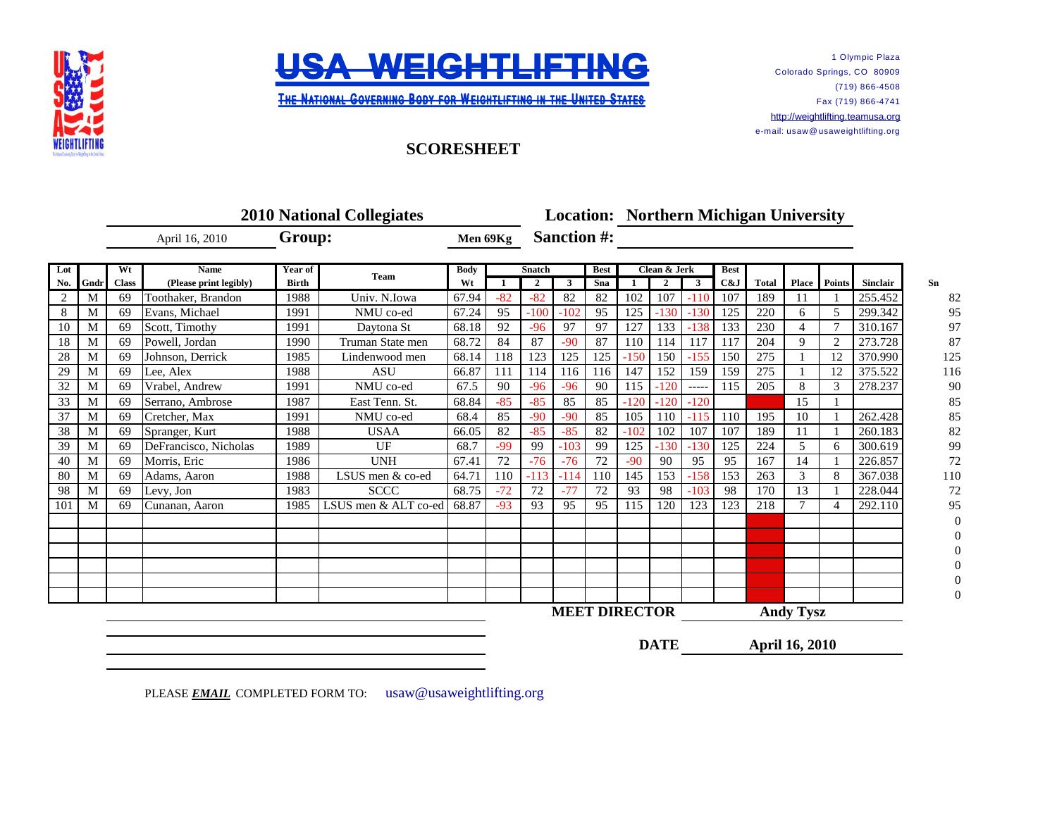



1 Olympic Plaza Colorado Springs, CO 80909 (719) 866-4508 Fax (719) 866-4741 [http://w](http://weightlifting.teamusa.org/)eightlifting.teamusa.org e-mail: usaw@ usaweightlifting.org

**THE NATIONAL GOVERNING BODY FOR WEIGHTLIFTING IN THE UNITED STATES** 

## **SCORESHEET**

|     |      | <b>2010 National Collegiates</b> |                                       |         |                      |            |       | <b>Location: Northern Michigan University</b> |        |             |              |                      |         |             |       |                  |               |          |     |
|-----|------|----------------------------------|---------------------------------------|---------|----------------------|------------|-------|-----------------------------------------------|--------|-------------|--------------|----------------------|---------|-------------|-------|------------------|---------------|----------|-----|
|     |      | April 16, 2010                   |                                       | Group:  |                      | Men 69Kg   |       | <b>Sanction #:</b>                            |        |             |              |                      |         |             |       |                  |               |          |     |
| Lot |      | Wt                               | <b>Name</b><br>(Please print legibly) | Year of | Team                 | Body<br>Wt |       | <b>Snatch</b>                                 |        | <b>Best</b> | Clean & Jerk |                      |         | <b>Best</b> |       |                  |               |          |     |
| No. | Gndr | <b>Class</b>                     |                                       | Birth   |                      |            |       | $\overline{2}$                                | 3      | Sna         |              | $\mathbf{2}$         | 3       | C&J         | Total | <b>Place</b>     | <b>Points</b> | Sinclair | Sn  |
| 2   | M    | 69                               | Toothaker, Brandon                    | 1988    | Univ. N.Iowa         | 67.94      | $-82$ | $-82$                                         | 82     | 82          | 102          | 107                  | $-110$  | 107         | 189   | 11               |               | 255.452  |     |
| 8   | M    | 69                               | Evans, Michael                        | 1991    | NMU co-ed            | 67.24      | 95    | $-100$                                        | $-102$ | 95          | 125          | $-130$               | $-130$  | 125         | 220   | 6                | 5             | 299.342  |     |
| 10  | M    | 69                               | Scott. Timothy                        | 1991    | Daytona St           | 68.18      | 92    | $-96$                                         | 97     | 97          | 127          | 133                  | $-138$  | 133         | 230   | 4                | 7             | 310.167  |     |
| 18  | M    | 69                               | Powell. Jordan                        | 1990    | Truman State men     | 68.72      | 84    | 87                                            | $-90$  | 87          | 110          | 114                  | 117     | 117         | 204   | 9                | $\mathcal{L}$ | 273.728  |     |
| 28  | M    | 69                               | Johnson, Derrick                      | 1985    | Lindenwood men       | 68.14      | 118   | 123                                           | 125    | 125         | $-150$       | 150                  | $-1.55$ | 150         | 275   |                  | 12            | 370.990  | 125 |
| 29  | M    | 69                               | Lee, Alex                             | 1988    | <b>ASU</b>           | 66.87      | 111   | 114                                           | 116    | 116         | 147          | 152                  | 159     | 159         | 275   |                  | 12            | 375.522  | 116 |
| 32  | M    | 69                               | Vrabel, Andrew                        | 1991    | NMU co-ed            | 67.5       | 90    | $-96$                                         | $-96$  | 90          | 115          | $-120$               | -----   | 115         | 205   | 8                | 3             | 278.237  |     |
| 33  | M    | 69                               | Serrano, Ambrose                      | 1987    | East Tenn. St.       | 68.84      | $-85$ | $-85$                                         | 85     | 85          | $-120$       | $-120$               | $-120$  |             |       | 15               |               |          |     |
| 37  | M    | 69                               | Cretcher, Max                         | 1991    | NMU co-ed            | 68.4       | 85    | $-90$                                         | $-90$  | 85          | 105          | 110                  | $-115$  | 110         | 195   | 10               |               | 262.428  |     |
| 38  | M    | 69                               | Spranger, Kurt                        | 1988    | <b>USAA</b>          | 66.05      | 82    | $-85$                                         | $-85$  | 82          | $-102$       | 102                  | 107     | 107         | 189   | 11               |               | 260.183  |     |
| 39  | М    | 69                               | DeFrancisco, Nicholas                 | 1989    | UF                   | 68.7       | $-99$ | 99                                            | $-103$ | 99          | 125          | $-130$               | $-130$  | 125         | 224   | 5                | 6             | 300.619  |     |
| 40  | M    | 69                               | Morris, Eric                          | 1986    | <b>UNH</b>           | 67.41      | 72    | $-76$                                         | $-76$  | 72          | $-90$        | 90                   | 95      | 95          | 167   | 14               |               | 226.857  |     |
| 80  | M    | 69                               | Adams, Aaron                          | 1988    | LSUS men & co-ed     | 64.71      | 110   | $-113$                                        | -114   | 110         | 145          | 153                  | $-158$  | 153         | 263   | 3                | 8             | 367.038  | 110 |
| 98  | M    | 69                               | Levy, Jon                             | 1983    | <b>SCCC</b>          | 68.75      | $-72$ | 72                                            | $-77$  | 72          | 93           | 98                   | $-103$  | 98          | 170   | 13               |               | 228.044  |     |
| 101 | M    | 69                               | Cunanan, Aaron                        | 1985    | LSUS men & ALT co-ed | 68.87      | $-93$ | 93                                            | 95     | 95          | 115          | 120                  | 123     | 123         | 218   | $\tau$           |               | 292.110  |     |
|     |      |                                  |                                       |         |                      |            |       |                                               |        |             |              |                      |         |             |       |                  |               |          |     |
|     |      |                                  |                                       |         |                      |            |       |                                               |        |             |              |                      |         |             |       |                  |               |          |     |
|     |      |                                  |                                       |         |                      |            |       |                                               |        |             |              |                      |         |             |       |                  |               |          |     |
|     |      |                                  |                                       |         |                      |            |       |                                               |        |             |              |                      |         |             |       |                  |               |          |     |
|     |      |                                  |                                       |         |                      |            |       |                                               |        |             |              |                      |         |             |       |                  |               |          |     |
|     |      |                                  |                                       |         |                      |            |       |                                               |        |             |              |                      |         |             |       |                  |               |          |     |
|     |      |                                  |                                       |         |                      |            |       |                                               |        |             |              | <b>MEET DIRECTOR</b> |         |             |       | <b>Andy Tysz</b> |               |          |     |

**DATE**

**April 16, 2010**

PLEASE **EMAIL** COMPLETED FORM TO: usaw@usaweightlifting.org